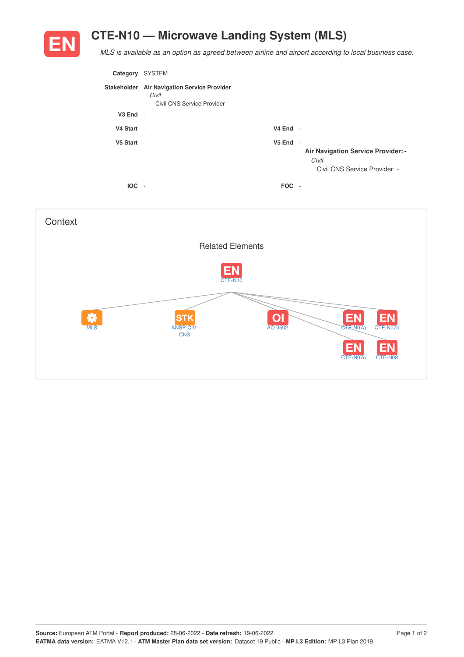## **CTE-N10 — Microwave Landing System (MLS)**



*MLS is available as an option as agreed between airline and airport according to local business case.*